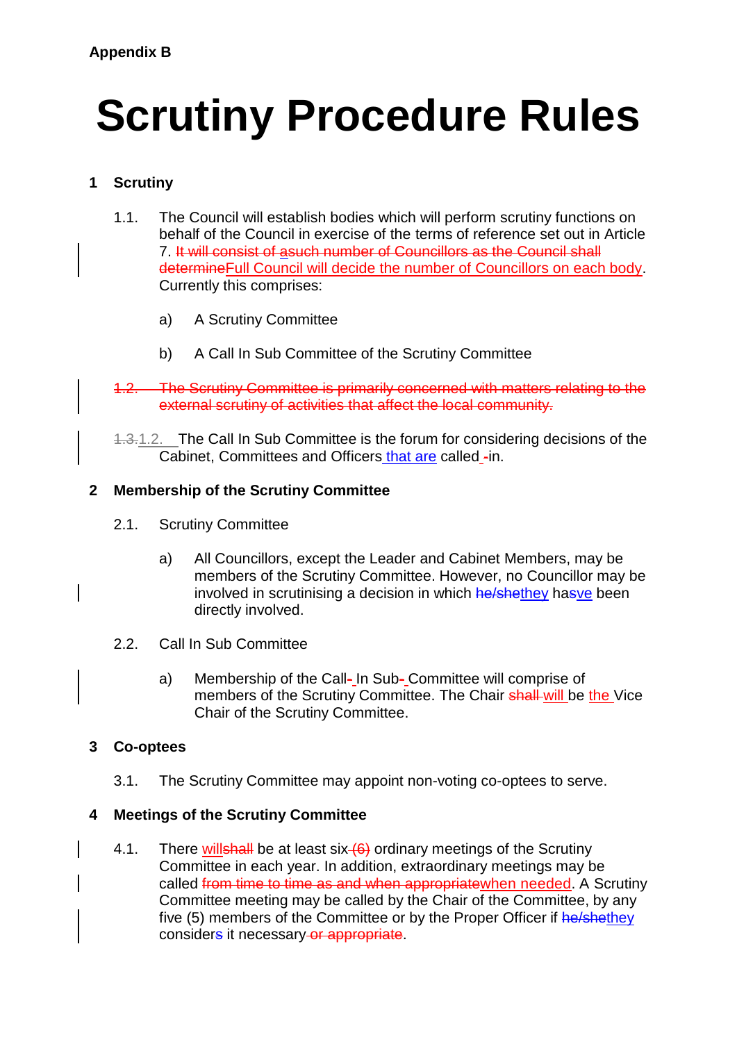# **Scrutiny Procedure Rules**

## **1 Scrutiny**

- 1.1. The Council will establish bodies which will perform scrutiny functions on behalf of the Council in exercise of the terms of reference set out in Article 7. It will consist of asuch number of Councillors as the Council shall determineFull Council will decide the number of Councillors on each body. Currently this comprises:
	- a) A Scrutiny Committee
	- b) A Call In Sub Committee of the Scrutiny Committee
- 1.2. The Scrutiny Committee is primarily concerned with matters relating to the external scrutiny of activities that affect the local community.

1.3.1.2. The Call In Sub Committee is the forum for considering decisions of the Cabinet, Committees and Officers that are called -in.

## **2 Membership of the Scrutiny Committee**

- 2.1. Scrutiny Committee
	- a) All Councillors, except the Leader and Cabinet Members, may be members of the Scrutiny Committee. However, no Councillor may be involved in scrutinising a decision in which he/shethey hasve been directly involved.
- 2.2. Call In Sub Committee
	- a) Membership of the Call- In Sub- Committee will comprise of members of the Scrutiny Committee. The Chair shall will be the Vice Chair of the Scrutiny Committee.

## **3 Co-optees**

3.1. The Scrutiny Committee may appoint non-voting co-optees to serve.

## **4 Meetings of the Scrutiny Committee**

4.1. There willshall be at least six  $(6)$  ordinary meetings of the Scrutiny Committee in each year. In addition, extraordinary meetings may be called from time to time as and when appropriate when needed. A Scrutiny Committee meeting may be called by the Chair of the Committee, by any five (5) members of the Committee or by the Proper Officer if he/shethey considers it necessary or appropriate.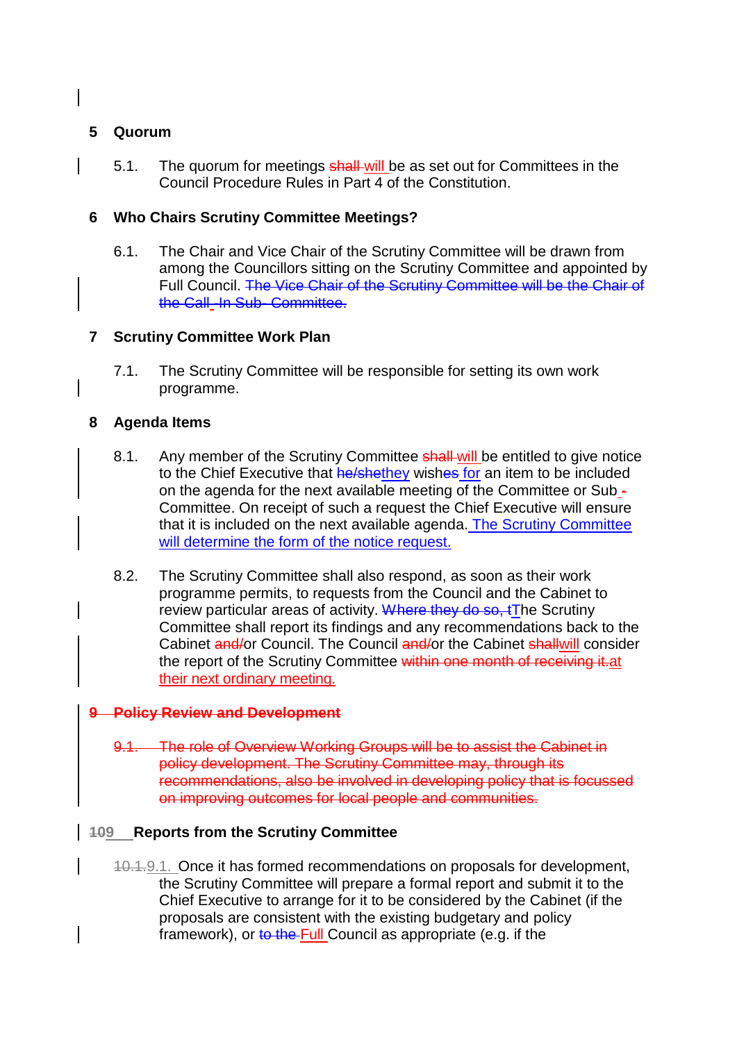## **5 Quorum**

5.1. The quorum for meetings shall-will be as set out for Committees in the Council Procedure Rules in Part 4 of the Constitution.

## **6 Who Chairs Scrutiny Committee Meetings?**

6.1. The Chair and Vice Chair of the Scrutiny Committee will be drawn from among the Councillors sitting on the Scrutiny Committee and appointed by Full Council. The Vice Chair of the Scrutiny Committee will be the Chair of the Call-In Sub- Committee.

## **7 Scrutiny Committee Work Plan**

7.1. The Scrutiny Committee will be responsible for setting its own work programme.

#### **8 Agenda Items**

- 8.1. Any member of the Scrutiny Committee shall-will be entitled to give notice to the Chief Executive that he/shethey wishes for an item to be included on the agenda for the next available meeting of the Committee or Sub - Committee. On receipt of such a request the Chief Executive will ensure that it is included on the next available agenda. The Scrutiny Committee will determine the form of the notice request.
- 8.2. The Scrutiny Committee shall also respond, as soon as their work programme permits, to requests from the Council and the Cabinet to review particular areas of activity. Where they do so, tThe Scrutiny Committee shall report its findings and any recommendations back to the Cabinet and/or Council. The Council and/or the Cabinet shallwill consider the report of the Scrutiny Committee within one month of receiving it at their next ordinary meeting.

## **9 Policy Review and Development**

9.1. The role of Overview Working Groups will be to assist the Cabinet in policy development. The Scrutiny Committee may, through its recommendations, also be involved in developing policy that is focussed on improving outcomes for local people and communities.

#### **109 Reports from the Scrutiny Committee**

10.1.9.1. Once it has formed recommendations on proposals for development, the Scrutiny Committee will prepare a formal report and submit it to the Chief Executive to arrange for it to be considered by the Cabinet (if the proposals are consistent with the existing budgetary and policy framework), or to the Full Council as appropriate (e.g. if the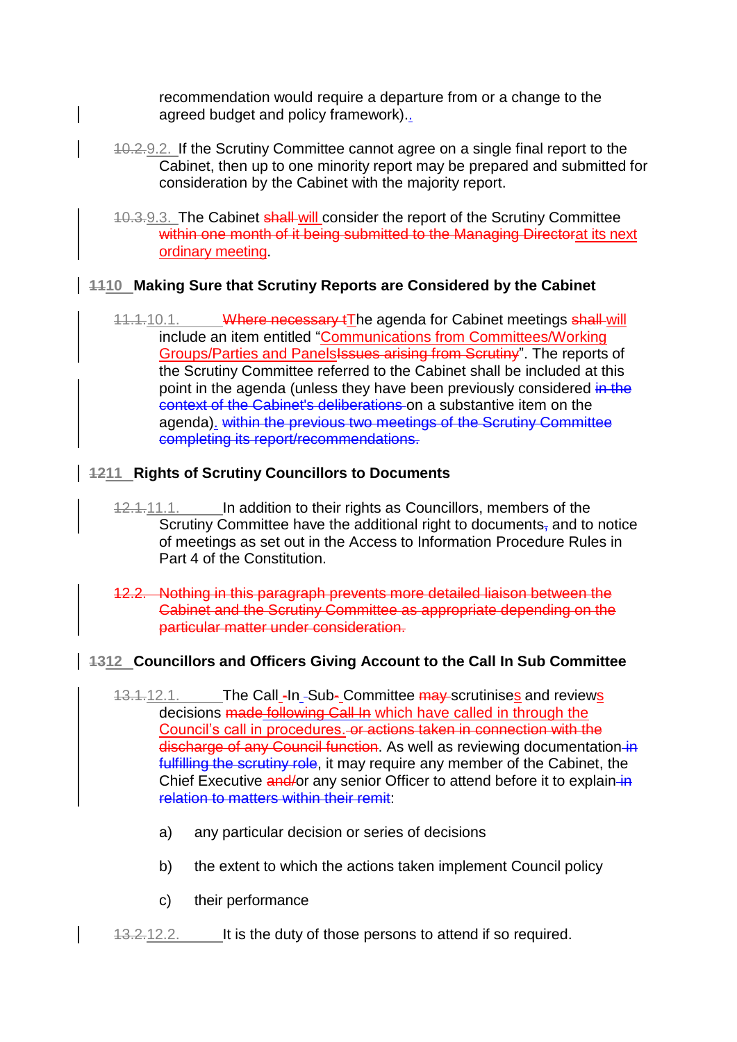recommendation would require a departure from or a change to the agreed budget and policy framework)..

- 10.2.9.2. If the Scrutiny Committee cannot agree on a single final report to the Cabinet, then up to one minority report may be prepared and submitted for consideration by the Cabinet with the majority report.
- 10.3.9.3. The Cabinet shall will consider the report of the Scrutiny Committee within one month of it being submitted to the Managing Directorat its next ordinary meeting.

## **1110 Making Sure that Scrutiny Reports are Considered by the Cabinet**

11.1.10.1. Where necessary tThe agenda for Cabinet meetings shall will include an item entitled "Communications from Committees/Working Groups/Parties and Panels<del>Issues arising from Scrutiny</del>". The reports of the Scrutiny Committee referred to the Cabinet shall be included at this point in the agenda (unless they have been previously considered in the context of the Cabinet's deliberations on a substantive item on the agenda). within the previous two meetings of the Scrutiny Committee completing its report/recommendations.

## **1211 Rights of Scrutiny Councillors to Documents**

- 12.1.11.1. In addition to their rights as Councillors, members of the Scrutiny Committee have the additional right to documents, and to notice of meetings as set out in the Access to Information Procedure Rules in Part 4 of the Constitution.
- 12.2. Nothing in this paragraph prevents more detailed liaison between the Cabinet and the Scrutiny Committee as appropriate depending on the particular matter under consideration.

## **1312 Councillors and Officers Giving Account to the Call In Sub Committee**

- 13.1.12.1. The Call -In -Sub- Committee may scrutinises and reviews decisions made following Call In which have called in through the Council's call in procedures. or actions taken in connection with the discharge of any Council function. As well as reviewing documentation in fulfilling the scrutiny role, it may require any member of the Cabinet, the Chief Executive and/or any senior Officer to attend before it to explain-in relation to matters within their remit:
	- a) any particular decision or series of decisions
	- b) the extent to which the actions taken implement Council policy
	- c) their performance
- 13.2.12.2. It is the duty of those persons to attend if so required.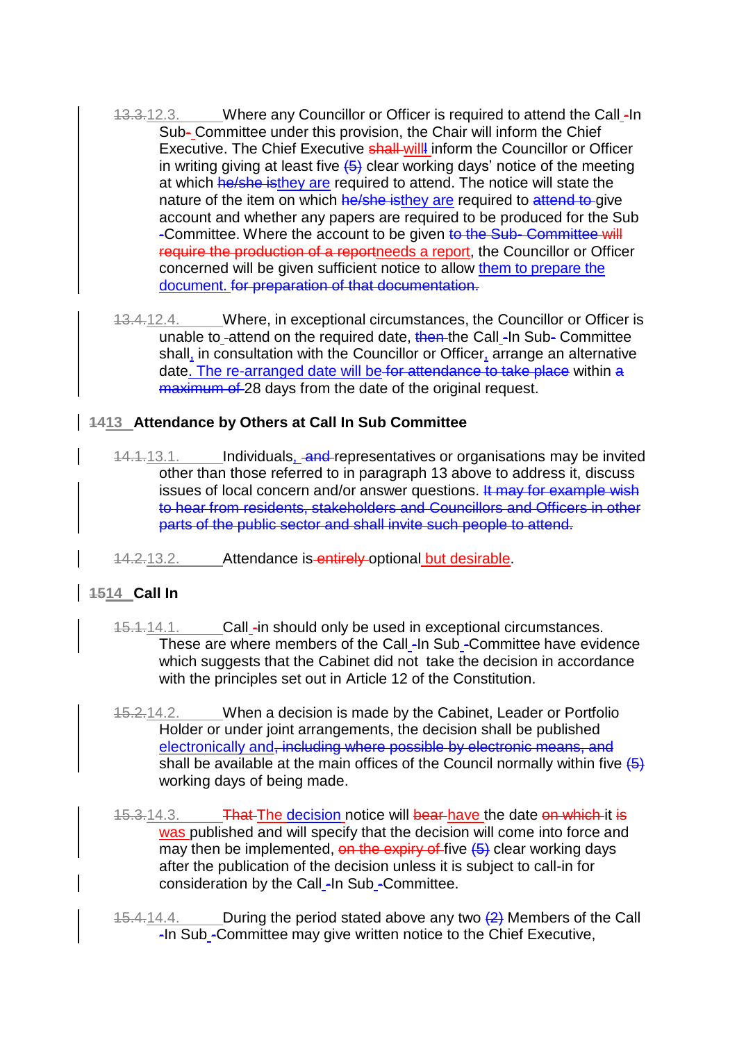- 13.3.12.3. Where any Councillor or Officer is required to attend the Call -In Sub- Committee under this provision, the Chair will inform the Chief Executive. The Chief Executive shall will inform the Councillor or Officer in writing giving at least five  $\left(5\right)$  clear working days' notice of the meeting at which he/she isthey are required to attend. The notice will state the nature of the item on which he/she isthey are required to attend to give account and whether any papers are required to be produced for the Sub -Committee. Where the account to be given to the Sub- Committee will require the production of a reportneeds a report, the Councillor or Officer concerned will be given sufficient notice to allow them to prepare the document. for preparation of that documentation.
- 13.4.12.4. Where, in exceptional circumstances, the Councillor or Officer is unable to -attend on the required date, then the Call -In Sub- Committee shall, in consultation with the Councillor or Officer, arrange an alternative date. The re-arranged date will be for attendance to take place within a maximum of 28 days from the date of the original request.

## **1413 Attendance by Others at Call In Sub Committee**

- 14.1.13.1. Individuals, and representatives or organisations may be invited other than those referred to in paragraph 13 above to address it, discuss issues of local concern and/or answer questions. It may for example wish to hear from residents, stakeholders and Councillors and Officers in other parts of the public sector and shall invite such people to attend.
- 14.2.13.2. Attendance is entirely optional but desirable.

## **1514 Call In**

- 15.1.14.1. Call -in should only be used in exceptional circumstances. These are where members of the Call -In Sub -Committee have evidence which suggests that the Cabinet did not take the decision in accordance with the principles set out in Article 12 of the Constitution.
- 15.2.14.2. When a decision is made by the Cabinet, Leader or Portfolio Holder or under joint arrangements, the decision shall be published electronically and, including where possible by electronic means, and shall be available at the main offices of the Council normally within five  $\overline{(5)}$ working days of being made.
- 15.3.14.3. **That The decision notice will bear have the date on which it is** was published and will specify that the decision will come into force and may then be implemented, on the expiry of five  $(5)$  clear working days after the publication of the decision unless it is subject to call-in for consideration by the Call -In Sub -Committee.
- 15.4.14.4. During the period stated above any two  $\left(2\right)$  Members of the Call -In Sub -Committee may give written notice to the Chief Executive,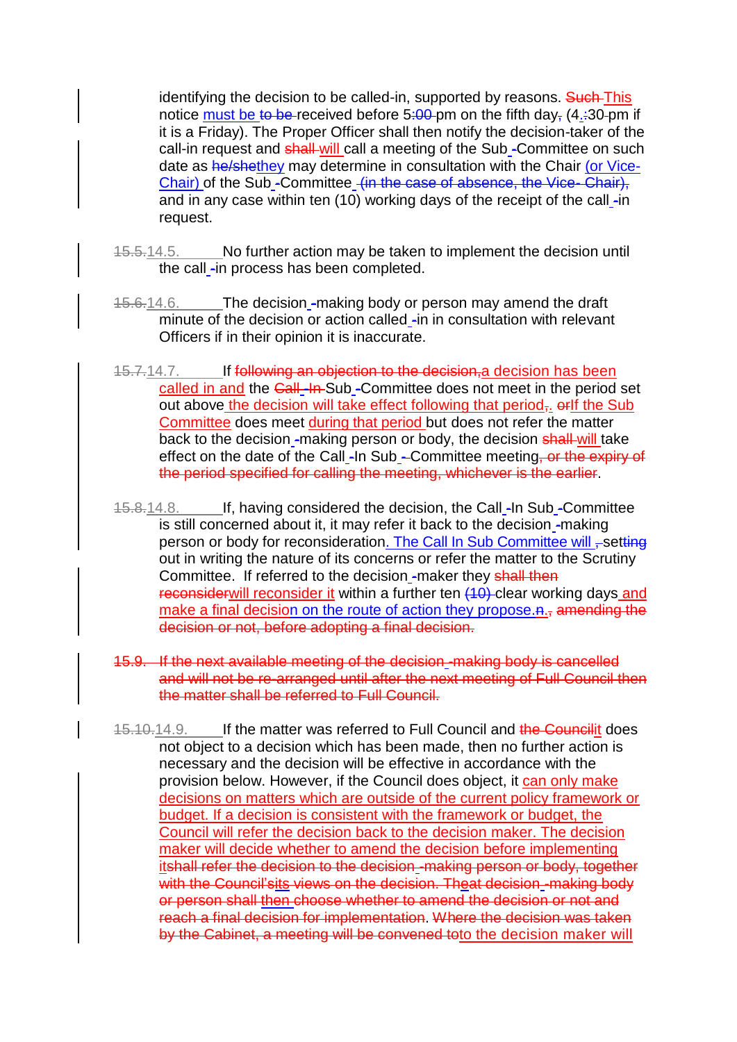identifying the decision to be called-in, supported by reasons. Such This notice must be to be received before 5:00 pm on the fifth day,  $(4.30 \text{pm} \text{m})$  if it is a Friday). The Proper Officer shall then notify the decision-taker of the call-in request and shall-will call a meeting of the Sub-Committee on such date as he/shethey may determine in consultation with the Chair (or Vice-Chair) of the Sub -Committee (in the case of absence, the Vice- Chair), and in any case within ten  $(10)$  working days of the receipt of the call -in request.

- 15.5.14.5. No further action may be taken to implement the decision until the call -in process has been completed.
- 15.6.14.6. The decision -making body or person may amend the draft minute of the decision or action called -in in consultation with relevant Officers if in their opinion it is inaccurate.
- 15.7.14.7. If following an objection to the decision, a decision has been called in and the Call -In-Sub -Committee does not meet in the period set out above the decision will take effect following that period<sub> $\bar{x}$ </sub>.  $\theta$  orif the Sub Committee does meet during that period but does not refer the matter back to the decision -making person or body, the decision shall-will take effect on the date of the Call -In Sub - Committee meeting, or the expiry of the period specified for calling the meeting, whichever is the earlier.
- 15.8.14.8. If, having considered the decision, the Call -In Sub -Committee is still concerned about it, it may refer it back to the decision -making person or body for reconsideration. The Call In Sub Committee will , setting out in writing the nature of its concerns or refer the matter to the Scrutiny Committee. If referred to the decision -maker they shall then reconsiderwill reconsider it within a further ten (10) clear working days and make a final decision on the route of action they propose. A., amending the decision or not, before adopting a final decision.
- 15.9. If the next available meeting of the decision -making body is cancelled and will not be re-arranged until after the next meeting of Full Council then the matter shall be referred to Full Council.
- 15.10.14.9. If the matter was referred to Full Council and the Councilit does not object to a decision which has been made, then no further action is necessary and the decision will be effective in accordance with the provision below. However, if the Council does object, it can only make decisions on matters which are outside of the current policy framework or budget. If a decision is consistent with the framework or budget, the Council will refer the decision back to the decision maker. The decision maker will decide whether to amend the decision before implementing itshall refer the decision to the decision -making person or body, together with the Council'sits views on the decision. Theat decision-making body or person shall then choose whether to amend the decision or not and reach a final decision for implementation. Where the decision was taken by the Cabinet, a meeting will be convened toto the decision maker will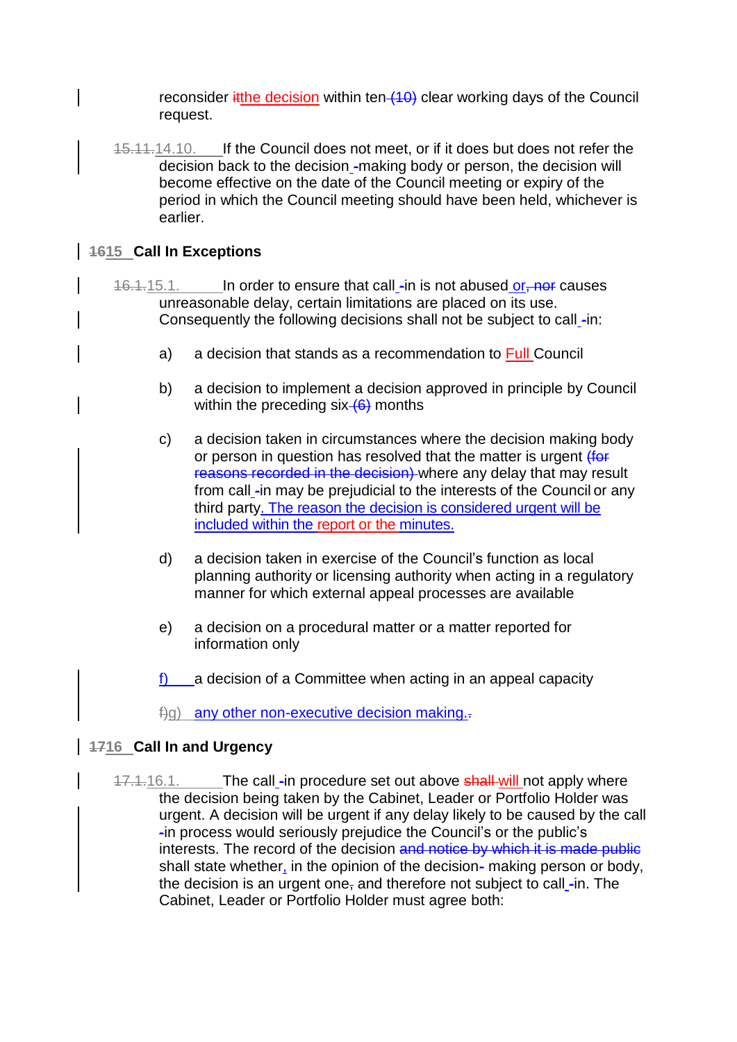reconsider it the decision within ten  $(10)$  clear working days of the Council request.

15.11.14.10. If the Council does not meet, or if it does but does not refer the decision back to the decision -making body or person, the decision will become effective on the date of the Council meeting or expiry of the period in which the Council meeting should have been held, whichever is earlier.

## **1615 Call In Exceptions**

- 16.1.15.1. In order to ensure that call -in is not abused or, not causes unreasonable delay, certain limitations are placed on its use. Consequently the following decisions shall not be subject to call -in:
	- a) a decision that stands as a recommendation to Full Council
	- b) a decision to implement a decision approved in principle by Council within the preceding  $six$  (6) months
	- c) a decision taken in circumstances where the decision making body or person in question has resolved that the matter is urgent (for reasons recorded in the decision) where any delay that may result from call -in may be prejudicial to the interests of the Council or any third party. The reason the decision is considered urgent will be included within the report or the minutes.
	- d) a decision taken in exercise of the Council's function as local planning authority or licensing authority when acting in a regulatory manner for which external appeal processes are available
	- e) a decision on a procedural matter or a matter reported for information only
	- f) a decision of a Committee when acting in an appeal capacity
	- $\pm$ q) any other non-executive decision making. $\pm$

## **1716 Call In and Urgency**

17.1.16.1. The call -in procedure set out above shall-will not apply where the decision being taken by the Cabinet, Leader or Portfolio Holder was urgent. A decision will be urgent if any delay likely to be caused by the call -in process would seriously prejudice the Council's or the public's interests. The record of the decision and notice by which it is made public shall state whether, in the opinion of the decision- making person or body, the decision is an urgent one, and therefore not subject to call  $\text{-}$ in. The Cabinet, Leader or Portfolio Holder must agree both: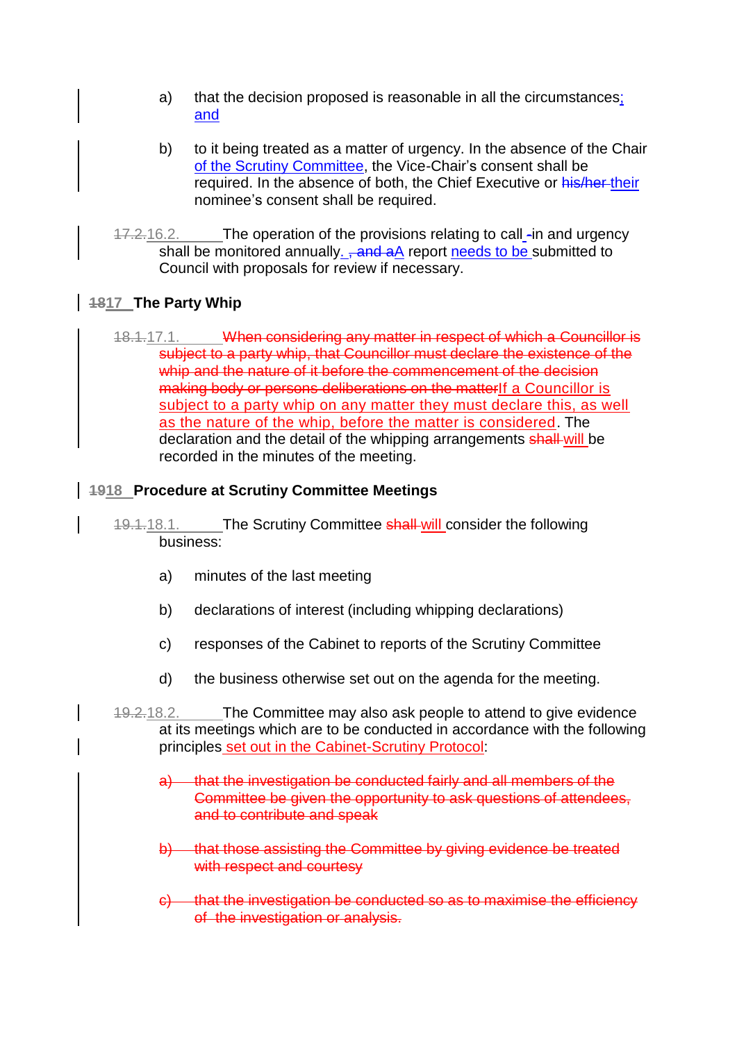- a) that the decision proposed is reasonable in all the circumstances; and
- b) to it being treated as a matter of urgency. In the absence of the Chair of the Scrutiny Committee, the Vice-Chair's consent shall be required. In the absence of both, the Chief Executive or his/her-their nominee's consent shall be required.
- 17.2.16.2. The operation of the provisions relating to call -in and urgency shall be monitored annually. <del>, and a</del>A report needs to be submitted to Council with proposals for review if necessary.

## **1817 The Party Whip**

18.1.17.1. When considering any matter in respect of which a Councillor is subject to a party whip, that Councillor must declare the existence of the whip and the nature of it before the commencement of the decision making body or persons deliberations on the matterIf a Councillor is subject to a party whip on any matter they must declare this, as well as the nature of the whip, before the matter is considered. The declaration and the detail of the whipping arrangements shall will be recorded in the minutes of the meeting.

#### **1918 Procedure at Scrutiny Committee Meetings**

- 19.1.18.1. The Scrutiny Committee shall-will consider the following business:
	- a) minutes of the last meeting
	- b) declarations of interest (including whipping declarations)
	- c) responses of the Cabinet to reports of the Scrutiny Committee
	- d) the business otherwise set out on the agenda for the meeting.
- 19.2.18.2. The Committee may also ask people to attend to give evidence at its meetings which are to be conducted in accordance with the following principles set out in the Cabinet-Scrutiny Protocol:
	- a) that the investigation be conducted fairly and all members of the Committee be given the opportunity to ask questions of attendees, and to contribute and speak
	- b) that those assisting the Committee by giving evidence be treated with respect and courtesy
	- c) that the investigation be conducted so as to maximise the efficiency of the investigation or analysis.